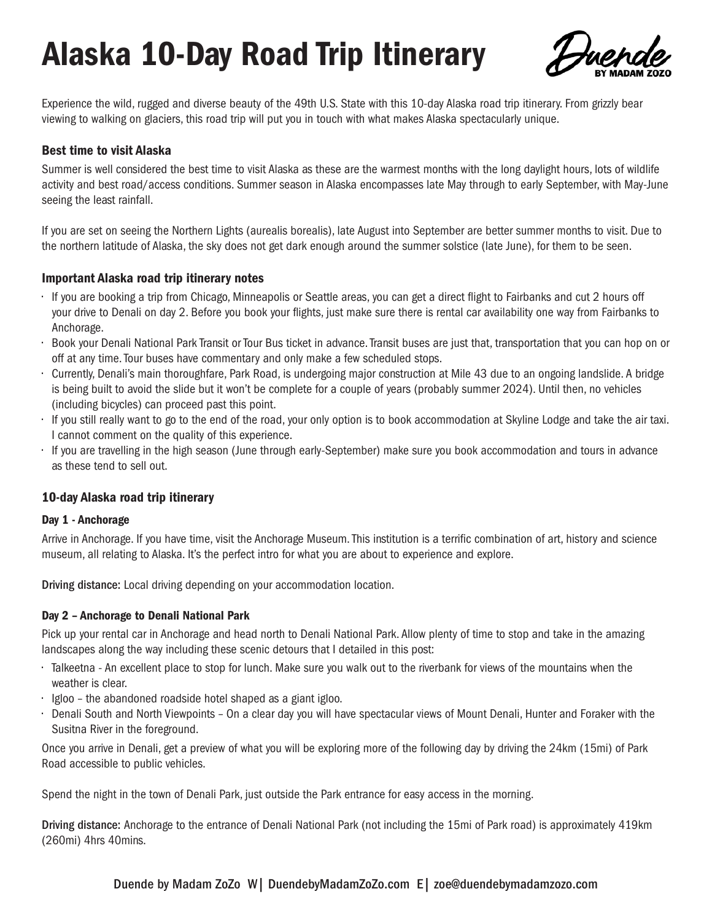# Alaska 10-Day Road Trip Itinerary



Experience the wild, rugged and diverse beauty of the 49th U.S. State with this 10-day Alaska road trip itinerary. From grizzly bear viewing to walking on glaciers, this road trip will put you in touch with what makes Alaska spectacularly unique.

## Best time to visit Alaska

Summer is well considered the best time to visit Alaska as these are the warmest months with the long daylight hours, lots of wildlife activity and best road/access conditions. Summer season in Alaska encompasses late May through to early September, with May-June seeing the least rainfall.

If you are set on seeing the Northern Lights (aurealis borealis), late August into September are better summer months to visit. Due to the northern latitude of Alaska, the sky does not get dark enough around the summer solstice (late June), for them to be seen.

## Important Alaska road trip itinerary notes

- If you are booking a trip from Chicago, Minneapolis or Seattle areas, you can get a direct flight to Fairbanks and cut 2 hours off your drive to Denali on day 2. Before you book your flights, just make sure there is rental car availability one way from Fairbanks to Anchorage.
- Book your Denali National Park Transit or Tour Bus ticket in advance. Transit buses are just that, transportation that you can hop on or off at any time. Tour buses have commentary and only make a few scheduled stops.
- Currently, Denali's main thoroughfare, Park Road, is undergoing major construction at Mile 43 due to an ongoing landslide. A bridge is being built to avoid the slide but it won't be complete for a couple of years (probably summer 2024). Until then, no vehicles (including bicycles) can proceed past this point.
- If you still really want to go to the end of the road, your only option is to book accommodation at Skyline Lodge and take the air taxi. I cannot comment on the quality of this experience.
- If you are travelling in the high season (June through early-September) make sure you book accommodation and tours in advance as these tend to sell out.

## 10-day Alaska road trip itinerary

#### Day 1 - Anchorage

Arrive in Anchorage. If you have time, visit the Anchorage Museum. This institution is a terrific combination of art, history and science museum, all relating to Alaska. It's the perfect intro for what you are about to experience and explore.

Driving distance: Local driving depending on your accommodation location.

## Day 2 – Anchorage to Denali National Park

Pick up your rental car in Anchorage and head north to Denali National Park. Allow plenty of time to stop and take in the amazing landscapes along the way including these scenic detours that I detailed in this post:

- Talkeetna An excellent place to stop for lunch. Make sure you walk out to the riverbank for views of the mountains when the weather is clear.
- Igloo the abandoned roadside hotel shaped as a giant igloo.
- Denali South and North Viewpoints On a clear day you will have spectacular views of Mount Denali, Hunter and Foraker with the Susitna River in the foreground.

Once you arrive in Denali, get a preview of what you will be exploring more of the following day by driving the 24km (15mi) of Park Road accessible to public vehicles.

Spend the night in the town of Denali Park, just outside the Park entrance for easy access in the morning.

Driving distance: Anchorage to the entrance of Denali National Park (not including the 15mi of Park road) is approximately 419km (260mi) 4hrs 40mins.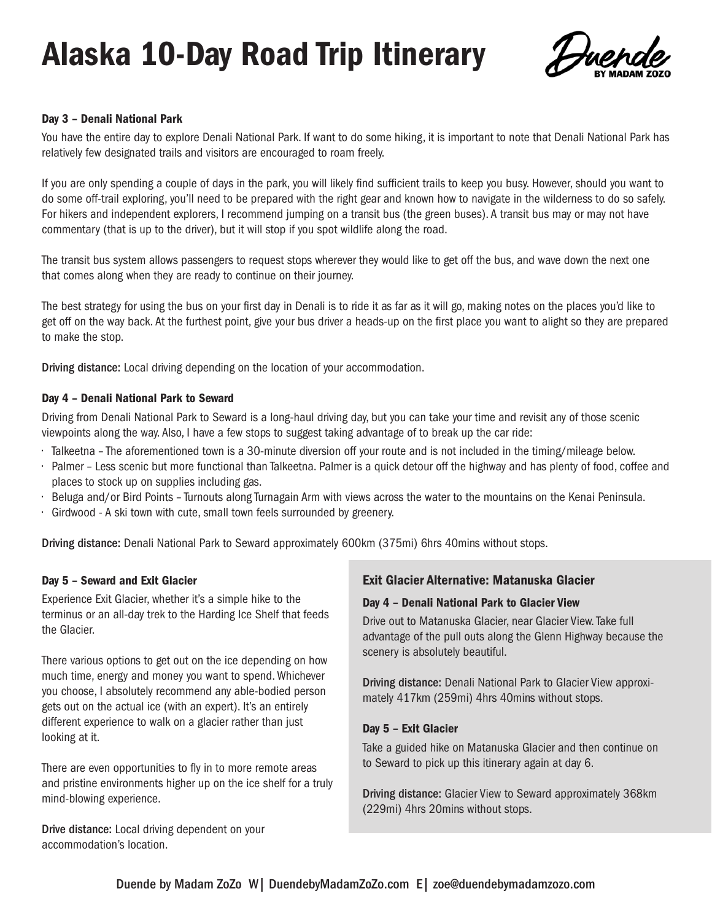# Alaska 10-Day Road Trip Itinerary



## Day 3 – Denali National Park

You have the entire day to explore Denali National Park. If want to do some hiking, it is important to note that Denali National Park has relatively few designated trails and visitors are encouraged to roam freely.

If you are only spending a couple of days in the park, you will likely find sufficient trails to keep you busy. However, should you want to do some off-trail exploring, you'll need to be prepared with the right gear and known how to navigate in the wilderness to do so safely. For hikers and independent explorers, I recommend jumping on a transit bus (the green buses). A transit bus may or may not have commentary (that is up to the driver), but it will stop if you spot wildlife along the road.

The transit bus system allows passengers to request stops wherever they would like to get off the bus, and wave down the next one that comes along when they are ready to continue on their journey.

The best strategy for using the bus on your first day in Denali is to ride it as far as it will go, making notes on the places you'd like to get off on the way back. At the furthest point, give your bus driver a heads-up on the first place you want to alight so they are prepared to make the stop.

Driving distance: Local driving depending on the location of your accommodation.

## Day 4 – Denali National Park to Seward

Driving from Denali National Park to Seward is a long-haul driving day, but you can take your time and revisit any of those scenic viewpoints along the way. Also, I have a few stops to suggest taking advantage of to break up the car ride:

- Talkeetna The aforementioned town is a 30-minute diversion off your route and is not included in the timing/mileage below.
- Palmer Less scenic but more functional than Talkeetna. Palmer is a quick detour off the highway and has plenty of food, coffee and places to stock up on supplies including gas.
- Beluga and/or Bird Points Turnouts along Turnagain Arm with views across the water to the mountains on the Kenai Peninsula.
- Girdwood A ski town with cute, small town feels surrounded by greenery.

Driving distance: Denali National Park to Seward approximately 600km (375mi) 6hrs 40mins without stops.

## Day 5 – Seward and Exit Glacier

Experience Exit Glacier, whether it's a simple hike to the terminus or an all-day trek to the Harding Ice Shelf that feeds the Glacier.

There various options to get out on the ice depending on how much time, energy and money you want to spend. Whichever you choose, I absolutely recommend any able-bodied person gets out on the actual ice (with an expert). It's an entirely different experience to walk on a glacier rather than just looking at it.

There are even opportunities to fly in to more remote areas and pristine environments higher up on the ice shelf for a truly mind-blowing experience.

Drive distance: Local driving dependent on your accommodation's location.

## Exit Glacier Alternative: Matanuska Glacier

#### Day 4 – Denali National Park to Glacier View

Drive out to Matanuska Glacier, near Glacier View. Take full advantage of the pull outs along the Glenn Highway because the scenery is absolutely beautiful.

Driving distance: Denali National Park to Glacier View approximately 417km (259mi) 4hrs 40mins without stops.

#### Day 5 – Exit Glacier

Take a guided hike on Matanuska Glacier and then continue on to Seward to pick up this itinerary again at day 6.

Driving distance: Glacier View to Seward approximately 368km (229mi) 4hrs 20mins without stops.